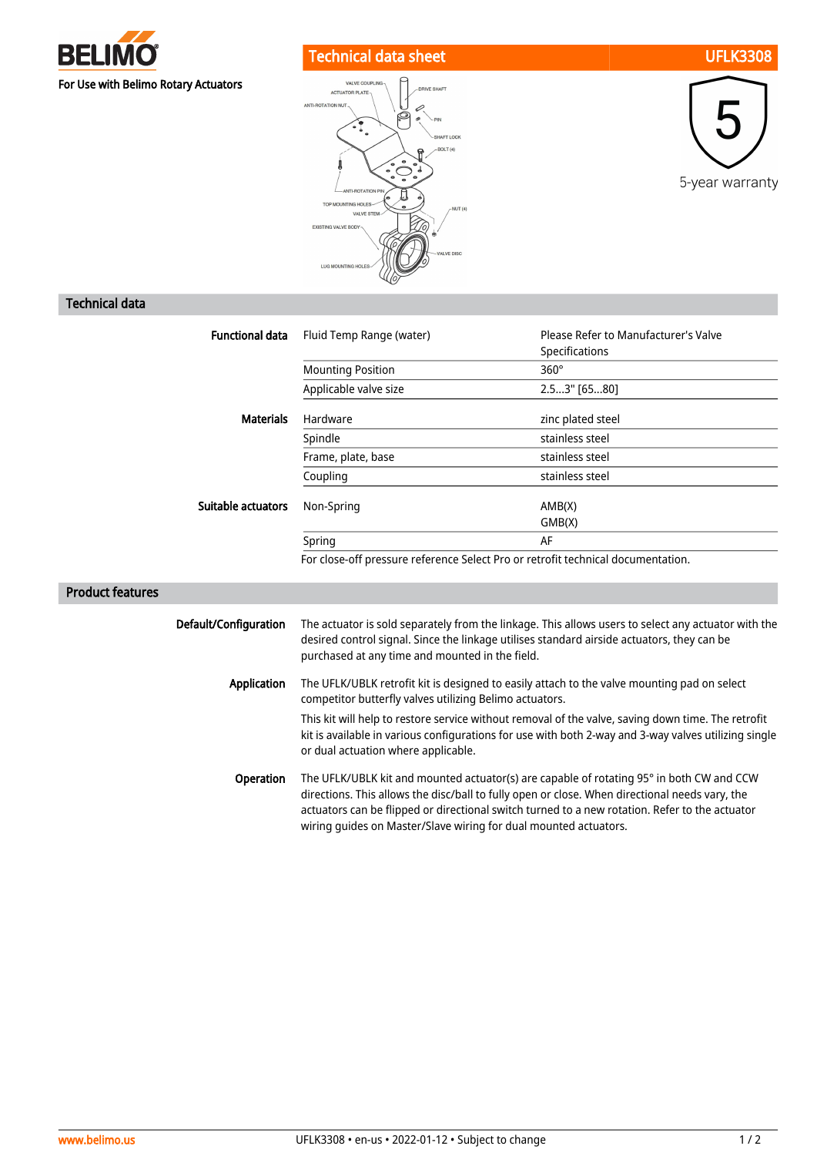

## Technical data sheet UFLK3308







## Technical data

| <b>Functional data</b> | Fluid Temp Range (water)                                                         | Please Refer to Manufacturer's Valve<br>Specifications |
|------------------------|----------------------------------------------------------------------------------|--------------------------------------------------------|
|                        | <b>Mounting Position</b>                                                         | $360^\circ$                                            |
|                        | Applicable valve size                                                            | 2.53" [6580]                                           |
| <b>Materials</b>       | Hardware                                                                         | zinc plated steel                                      |
|                        | Spindle                                                                          | stainless steel                                        |
|                        | Frame, plate, base                                                               | stainless steel                                        |
|                        | Coupling                                                                         | stainless steel                                        |
| Suitable actuators     | Non-Spring                                                                       | AMB(X)<br>GMB(X)                                       |
|                        | Spring                                                                           | AF                                                     |
|                        | For close-off pressure reference Select Pro or retrofit technical documentation. |                                                        |

## Product features

| Default/Configuration | The actuator is sold separately from the linkage. This allows users to select any actuator with the<br>desired control signal. Since the linkage utilises standard airside actuators, they can be<br>purchased at any time and mounted in the field.                                                                                                             |
|-----------------------|------------------------------------------------------------------------------------------------------------------------------------------------------------------------------------------------------------------------------------------------------------------------------------------------------------------------------------------------------------------|
| Application           | The UFLK/UBLK retrofit kit is designed to easily attach to the valve mounting pad on select<br>competitor butterfly valves utilizing Belimo actuators.                                                                                                                                                                                                           |
|                       | This kit will help to restore service without removal of the valve, saving down time. The retrofit<br>kit is available in various configurations for use with both 2-way and 3-way valves utilizing single<br>or dual actuation where applicable.                                                                                                                |
| <b>Operation</b>      | The UFLK/UBLK kit and mounted actuator(s) are capable of rotating 95° in both CW and CCW<br>directions. This allows the disc/ball to fully open or close. When directional needs vary, the<br>actuators can be flipped or directional switch turned to a new rotation. Refer to the actuator<br>wiring quides on Master/Slave wiring for dual mounted actuators. |